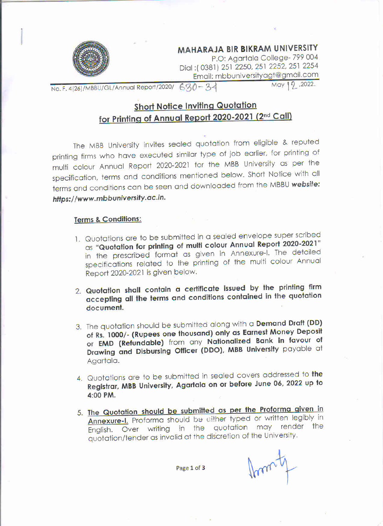

**MAHARAJA BIR BIKRAM UNIVERSITY**<br>P.O: Agartala College- 799 004

Dial: (0381) 251 2250, 251 2252, 251 2254 Dial :1 03811 231 2250, 251 2252, 261 2354 Email: rnbbuniversityagi@gnail.com

No. F. 4(26)/MBBU/GL/Annual Report/2020/  $630 - 34$  May 12, 2022.

## Short Notice Inviting Quotation for Printing of Annual Report 2020-2021 (2<sup>nd</sup> Call)

The MBB University invites sealed quotation from eligible & reputed printing firms who have executed similar type of job earlier, for printing of muiti colour Annual Report 2020-2021 for the MBB University as per the specification. terms and conditions mentioned below. Short Notice with all terms and conditions can be seen and downloaded from the MBBU website: htfps://www.mbbuniversify.ac.in.

## Terms & Conditions

- l. Quotations are to be submitted in a sealed envelope super scribed as "Quotation for printing of muiti colour Annual Repori 2020-2021" in the prescribed format as given in Annexure-l. The detailed specifications related to the printing of the muiti colour Annual Report 2020-202i is given below.
- 2. Quotation shall contain a certificate issued by the printing firm accepting all the terms and conditions contained in the quotation document. .
- 3. The quotation should be submitted along with a Demand Draft (DD) of Rs. 1000/- (Rupees one thousand) only as Earnest Money Deposit or EMD (Refundable) from any Nationalized Bank in favour of Drawing and Disbursing Officer (DDO), MBB University payable at Agartala.
- 4. Quotations are to be submitted in sealed covers addressed to the Registrar, MBB University, Agartala on or before June 06, 2022 up to 4:00 PM.
- 5. The Quotation should be submitted as per the Proforma given in Annexure-I. Proforma should be either typed or written legibly in English. Over writing in the quotation may render the quotation/tender as invalid at the discretion of the University.

Page 1 of 3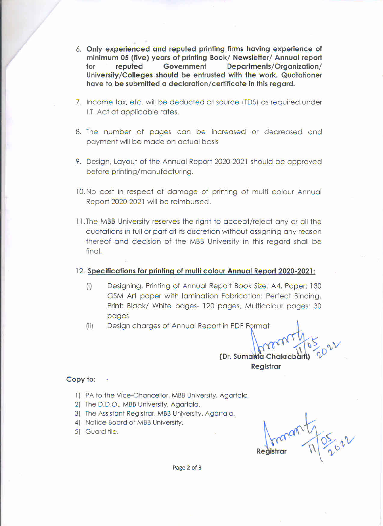- 6. Only experienced and reputed printing firms having experience of minimum 05 (five) years of printing Book/ Newsletter/ Annual report for reputed Government Departmenis/Organization/ University/Colleges should be entrusted with the work. Quotationer have to be submitted a declaration/certificate in this regard.
- 7. Income tax. etc. will be deducted at source (TDS) as required under |.T. Act at applicable rates.
- 8. The number of pages can be increased or decreased and payment will be made on actual basis
- 9. Design. Layout of the Annual Report 2020-2021 should be approved before printing/manufacturing.
- 10. No cost in respect of damage of printing of multi colour Annual Report 2020-2021 will be reimbursed.
- ll.The MBB University reserves the right to accept/reiect any or all the quotations in full or part at its discretion without assigning any reason thereof and decision of the MBB University in this regard shall be final.
- 12. Specifications for printing of multi colour Annual Report 2020-2021:
	- (i) Designing, Printing of Annual Report Book Size: A4, Paper: 130 GSM Art paper with lamination Fabrication: Perfect Binding, Print: Black/ White pages- 120 pages, Multicolour pages: 30 pages
	- (ii) Design charges of Annual Report in PDF Format

€ (Dr. Sumanta Chakra

Registrar

Copy to:

- 1) PA to the Vice-Chancellor, MBB University, Agartala.
- 2) The D.D.O.. MBB University. Agartala.
- 3) The Assistant Registrar. MBB University. Agartala.
- 4} Notice Board of MBB University.
- 

5) Guard file.  $\bigcap_{\alpha\in\mathbb{C}}\mathfrak{a}\oplus\mathfrak{a}\oplus\mathfrak{b}$  $O_{\times}$   $V$  $\text{Resistrar}$   $\begin{bmatrix} 0 \\ 1 \end{bmatrix}$ 

Page 2 of 3